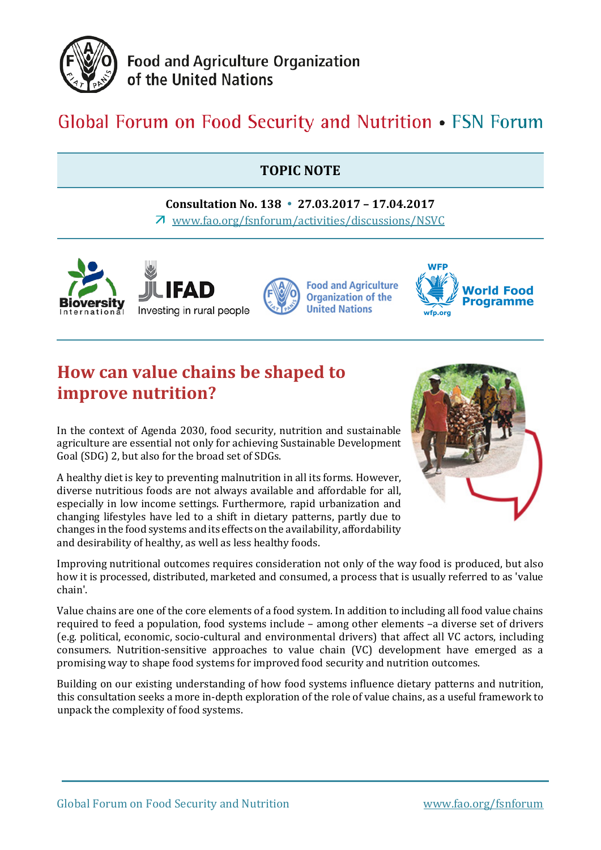

**Food and Agriculture Organization** of the United Nations

# Global Forum on Food Security and Nutrition • FSN Forum

### **TOPIC NOTE**

**Consultation No. 138 27.03.2017 – 17.04.2017** [www.fao.org/fsnforum/activities/discussions/NSVC](http://www.fao.org/fsnforum/activities/discussions/NSVC)



## **How can value chains be shaped to improve nutrition?**

In the context of Agenda 2030, food security, nutrition and sustainable agriculture are essential not only for achieving Sustainable Development Goal (SDG) 2, but also for the broad set of SDGs.

A healthy diet is key to preventing malnutrition in all its forms. However, diverse nutritious foods are not always available and affordable for all, especially in low income settings. Furthermore, rapid urbanization and changing lifestyles have led to a shift in dietary patterns, partly due to changes in the food systems and its effects on the availability, affordability and desirability of healthy, as well as less healthy foods.



Improving nutritional outcomes requires consideration not only of the way food is produced, but also how it is processed, distributed, marketed and consumed, a process that is usually referred to as 'value chain'.

Value chains are one of the core elements of a food system. In addition to including all food value chains required to feed a population, food systems include – among other elements –a diverse set of drivers (e.g. political, economic, socio-cultural and environmental drivers) that affect all VC actors, including consumers. Nutrition-sensitive approaches to value chain (VC) development have emerged as a promising way to shape food systems for improved food security and nutrition outcomes.

Building on our existing understanding of how food systems influence dietary patterns and nutrition, this consultation seeks a more in-depth exploration of the role of value chains, as a useful framework to unpack the complexity of food systems.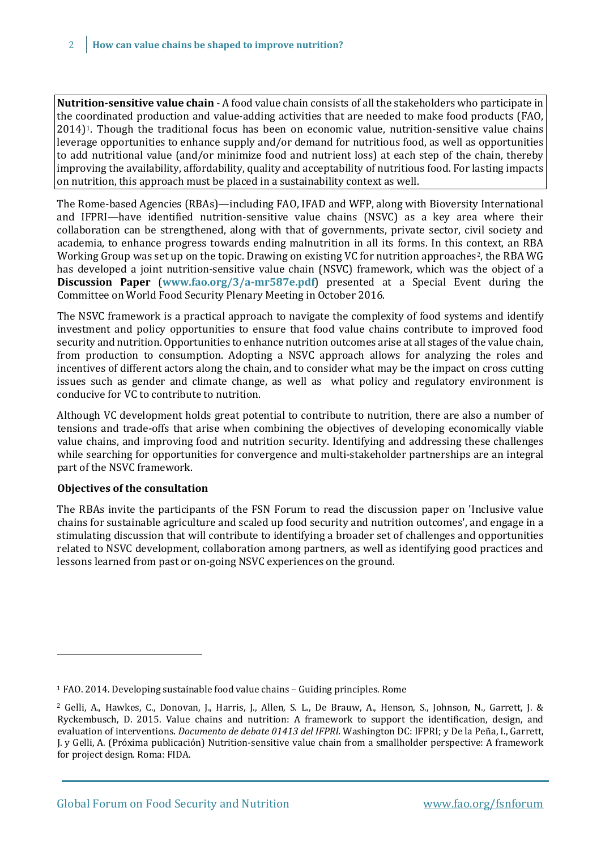**Nutrition-sensitive value chain** - A food value chain consists of all the stakeholders who participate in the coordinated production and value-adding activities that are needed to make food products (FAO, 2014)[1.](#page-1-0) Though the traditional focus has been on economic value, nutrition-sensitive value chains leverage opportunities to enhance supply and/or demand for nutritious food, as well as opportunities to add nutritional value (and/or minimize food and nutrient loss) at each step of the chain, thereby improving the availability, affordability, quality and acceptability of nutritious food. For lasting impacts on nutrition, this approach must be placed in a sustainability context as well.

The Rome-based Agencies (RBAs)—including FAO, IFAD and WFP, along with Bioversity International and IFPRI—have identified nutrition-sensitive value chains (NSVC) as a key area where their collaboration can be strengthened, along with that of governments, private sector, civil society and academia, to enhance progress towards ending malnutrition in all its forms. In this context, an RBA Working Group was set up on the topic. Drawing on existing VC for nutrition approaches<sup>[2](#page-1-1)</sup>, the RBA WG has developed a joint nutrition-sensitive value chain (NSVC) framework, which was the object of a **Discussion Paper** (**[www.fao.org/3/a-mr587e.pdf](http://www.fao.org/3/a-mr587e.pdf)**) presented at a Special Event during the Committee on World Food Security Plenary Meeting in October 2016.

The NSVC framework is a practical approach to navigate the complexity of food systems and identify investment and policy opportunities to ensure that food value chains contribute to improved food security and nutrition. Opportunities to enhance nutrition outcomes arise at all stages of the value chain, from production to consumption. Adopting a NSVC approach allows for analyzing the roles and incentives of different actors along the chain, and to consider what may be the impact on cross cutting issues such as gender and climate change, as well as what policy and regulatory environment is conducive for VC to contribute to nutrition.

Although VC development holds great potential to contribute to nutrition, there are also a number of tensions and trade-offs that arise when combining the objectives of developing economically viable value chains, and improving food and nutrition security. Identifying and addressing these challenges while searching for opportunities for convergence and multi-stakeholder partnerships are an integral part of the NSVC framework.

#### **Objectives of the consultation**

i,

The RBAs invite the participants of the FSN Forum to read the discussion paper on 'Inclusive value chains for sustainable agriculture and scaled up food security and nutrition outcomes', and engage in a stimulating discussion that will contribute to identifying a broader set of challenges and opportunities related to NSVC development, collaboration among partners, as well as identifying good practices and lessons learned from past or on-going NSVC experiences on the ground.

<span id="page-1-0"></span><sup>1</sup> FAO. 2014. Developing sustainable food value chains – Guiding principles. Rome

<span id="page-1-1"></span><sup>2</sup> Gelli, A., Hawkes, C., Donovan, J., Harris, J., Allen, S. L., De Brauw, A., Henson, S., Johnson, N., Garrett, J. & Ryckembusch, D. 2015. Value chains and nutrition: A framework to support the identification, design, and evaluation of interventions. *Documento de debate 01413 del IFPRI.* Washington DC: IFPRI; y De la Peña, I., Garrett, J. y Gelli, A. (Próxima publicación) Nutrition-sensitive value chain from a smallholder perspective: A framework for project design. Roma: FIDA.